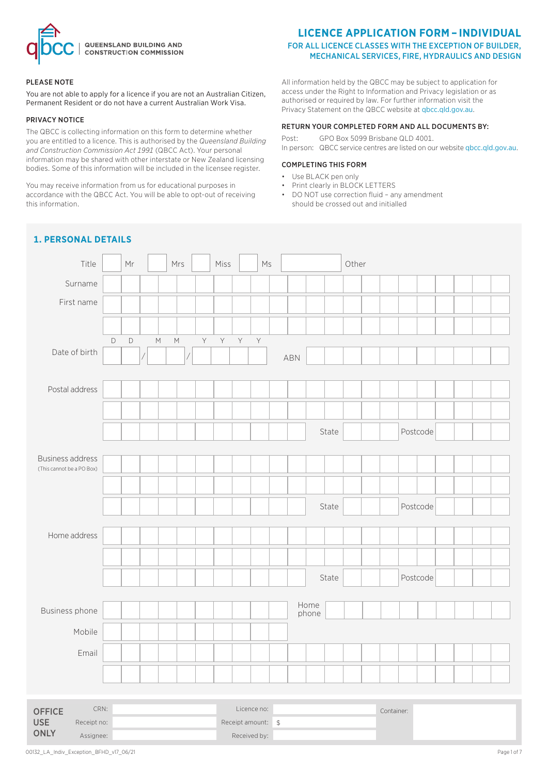

#### PLEASE NOTE

You are not able to apply for a licence if you are not an Australian Citizen, Permanent Resident or do not have a current Australian Work Visa.

#### PRIVACY NOTICE

The QBCC is collecting information on this form to determine whether you are entitled to a licence. This is authorised by the *Queensland Building and Construction Commission Act 1991* (QBCC Act). Your personal information may be shared with other interstate or New Zealand licensing bodies. Some of this information will be included in the licensee register.

You may receive information from us for educational purposes in accordance with the QBCC Act. You will be able to opt-out of receiving this information.

## **LICENCE APPLICATION FORM – INDIVIDUAL**

#### FOR ALL LICENCE CLASSES WITH THE EXCEPTION OF BUILDER, MECHANICAL SERVICES, FIRE, HYDRAULICS AND DESIGN

All information held by the QBCC may be subject to application for access under the Right to Information and Privacy legislation or as authorised or required by law. For further information visit the Privacy Statement on the QBCC website at qbcc.qld.gov.au.

#### RETURN YOUR COMPLETED FORM AND ALL DOCUMENTS BY:

Post: GPO Box 5099 Brisbane QLD 4001. In person: QBCC service centres are listed on our website qbcc.qld.gov.au.

#### COMPLETING THIS FORM

- Use BLACK pen only
- Print clearly in BLOCK LETTERS
- DO NOT use correction fluid any amendment should be crossed out and initialled

## **1. PERSONAL DETAILS**

| Title                     |             | Mr          |                    | Mrs                                                                                                        |   | Miss         |   | $\mathsf{M}\mathsf{s}$ |     |       |       | Other |            |          |  |  |
|---------------------------|-------------|-------------|--------------------|------------------------------------------------------------------------------------------------------------|---|--------------|---|------------------------|-----|-------|-------|-------|------------|----------|--|--|
| Surname                   |             |             |                    |                                                                                                            |   |              |   |                        |     |       |       |       |            |          |  |  |
| First name                |             |             |                    |                                                                                                            |   |              |   |                        |     |       |       |       |            |          |  |  |
|                           |             |             |                    |                                                                                                            |   |              |   |                        |     |       |       |       |            |          |  |  |
|                           | $\mathsf D$ | $\mathsf D$ | $\mathsf{M}% _{0}$ | $\mathsf{M}% _{T}=\mathsf{M}_{T}\!\left( a,b\right) ,\ \mathsf{M}_{T}=\mathsf{M}_{T}\!\left( a,b\right) ,$ | Y | $\mathsf{Y}$ | Y | $\mathsf Y$            |     |       |       |       |            |          |  |  |
| Date of birth             |             |             |                    |                                                                                                            |   |              |   |                        | ABN |       |       |       |            |          |  |  |
|                           |             |             |                    |                                                                                                            |   |              |   |                        |     |       |       |       |            |          |  |  |
| Postal address            |             |             |                    |                                                                                                            |   |              |   |                        |     |       |       |       |            |          |  |  |
|                           |             |             |                    |                                                                                                            |   |              |   |                        |     |       |       |       |            |          |  |  |
|                           |             |             |                    |                                                                                                            |   |              |   |                        |     |       | State |       |            | Postcode |  |  |
| <b>Business address</b>   |             |             |                    |                                                                                                            |   |              |   |                        |     |       |       |       |            |          |  |  |
| (This cannot be a PO Box) |             |             |                    |                                                                                                            |   |              |   |                        |     |       |       |       |            |          |  |  |
|                           |             |             |                    |                                                                                                            |   |              |   |                        |     |       |       |       |            |          |  |  |
|                           |             |             |                    |                                                                                                            |   |              |   |                        |     |       | State |       |            | Postcode |  |  |
| Home address              |             |             |                    |                                                                                                            |   |              |   |                        |     |       |       |       |            |          |  |  |
|                           |             |             |                    |                                                                                                            |   |              |   |                        |     |       |       |       |            |          |  |  |
|                           |             |             |                    |                                                                                                            |   |              |   |                        |     |       |       |       |            |          |  |  |
|                           |             |             |                    |                                                                                                            |   |              |   |                        |     |       | State |       |            | Postcode |  |  |
| Business phone            |             |             |                    |                                                                                                            |   |              |   |                        |     | Home  |       |       |            |          |  |  |
|                           |             |             |                    |                                                                                                            |   |              |   |                        |     | phone |       |       |            |          |  |  |
| Mobile                    |             |             |                    |                                                                                                            |   |              |   |                        |     |       |       |       |            |          |  |  |
| Email                     |             |             |                    |                                                                                                            |   |              |   |                        |     |       |       |       |            |          |  |  |
|                           |             |             |                    |                                                                                                            |   |              |   |                        |     |       |       |       |            |          |  |  |
|                           |             |             |                    |                                                                                                            |   |              |   |                        |     |       |       |       |            |          |  |  |
| CRN:<br><b>OFFICE</b>     |             |             |                    |                                                                                                            |   |              |   | Licence no:            |     |       |       |       | Container: |          |  |  |

Receipt no:  $\qquad \qquad$  Receipt amount: \$ Assignee: and a set of the set of the Received by:

USE **ONLY**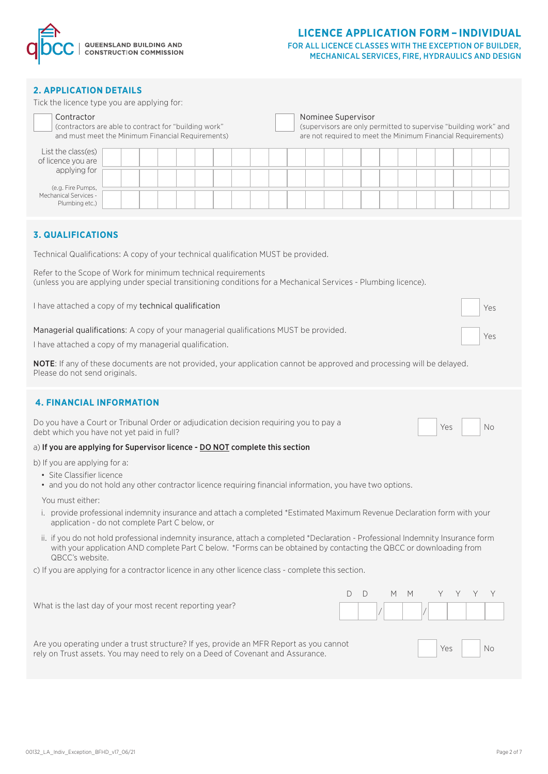

#### FOR ALL LICENCE CLASSES WITH THE EXCEPTION OF BUILDER, MECHANICAL SERVICES, FIRE, HYDRAULICS AND DESIGN

#### **2. APPLICATION DETAILS**

| Tick the licence type you are applying for:                                                                                                                                                                                                                                        |  |  |  |  |  |  |  |
|------------------------------------------------------------------------------------------------------------------------------------------------------------------------------------------------------------------------------------------------------------------------------------|--|--|--|--|--|--|--|
| Contractor<br>Nominee Supervisor<br>(contractors are able to contract for "building work"<br>(supervisors are only permitted to supervise "building work" and<br>and must meet the Minimum Financial Requirements)<br>are not required to meet the Minimum Financial Requirements) |  |  |  |  |  |  |  |
| List the class(es)<br>of licence you are<br>applying for                                                                                                                                                                                                                           |  |  |  |  |  |  |  |
| (e.g. Fire Pumps,<br>Mechanical Services -<br>Plumbing etc.)                                                                                                                                                                                                                       |  |  |  |  |  |  |  |
| <b>3. QUALIFICATIONS</b>                                                                                                                                                                                                                                                           |  |  |  |  |  |  |  |
| Technical Qualifications: A copy of your technical qualification MUST be provided.                                                                                                                                                                                                 |  |  |  |  |  |  |  |
| Refer to the Scope of Work for minimum technical requirements<br>(unless you are applying under special transitioning conditions for a Mechanical Services - Plumbing licence).                                                                                                    |  |  |  |  |  |  |  |
| I have attached a copy of my technical qualification<br>Yes                                                                                                                                                                                                                        |  |  |  |  |  |  |  |
| Managerial qualifications: A copy of your managerial qualifications MUST be provided.<br>Yes                                                                                                                                                                                       |  |  |  |  |  |  |  |
| I have attached a copy of my managerial qualification.                                                                                                                                                                                                                             |  |  |  |  |  |  |  |
| NOTE: If any of these documents are not provided, your application cannot be approved and processing will be delayed.<br>Please do not send originals.                                                                                                                             |  |  |  |  |  |  |  |
| <b>4. FINANCIAL INFORMATION</b>                                                                                                                                                                                                                                                    |  |  |  |  |  |  |  |
| Do you have a Court or Tribunal Order or adjudication decision requiring you to pay a<br>Yes<br>No<br>debt which you have not yet paid in full?                                                                                                                                    |  |  |  |  |  |  |  |
| a) If you are applying for Supervisor licence - DO NOT complete this section                                                                                                                                                                                                       |  |  |  |  |  |  |  |
| b) If you are applying for a:<br>• Site Classifier licence<br>• and you do not hold any other contractor licence requiring financial information, you have two options.                                                                                                            |  |  |  |  |  |  |  |
| You must either:<br>i. provide professional indemnity insurance and attach a completed *Estimated Maximum Revenue Declaration form with your<br>application - do not complete Part C below, or                                                                                     |  |  |  |  |  |  |  |
| ii. if you do not hold professional indemnity insurance, attach a completed *Declaration - Professional Indemnity Insurance form<br>with your application AND complete Part C below. *Forms can be obtained by contacting the QBCC or downloading from<br>QBCC's website.          |  |  |  |  |  |  |  |
| c) If you are applying for a contractor licence in any other licence class - complete this section.                                                                                                                                                                                |  |  |  |  |  |  |  |
| D<br>М<br>Y<br>Y<br>Y<br>D<br>M<br>Y<br>What is the last day of your most recent reporting year?                                                                                                                                                                                   |  |  |  |  |  |  |  |
| Are you operating under a trust structure? If yes, provide an MFR Report as you cannot<br>Yes<br>No<br>rely on Trust assets. You may need to rely on a Deed of Covenant and Assurance.                                                                                             |  |  |  |  |  |  |  |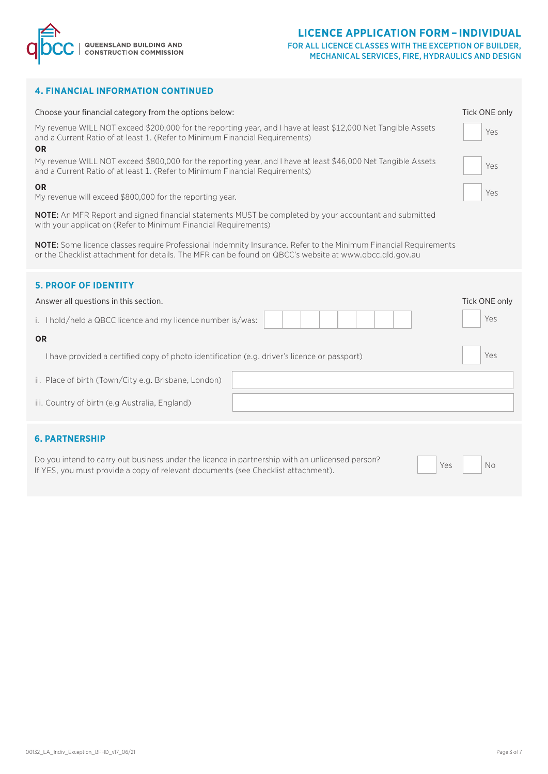



#### **4. FINANCIAL INFORMATION CONTINUED**

| Choose your financial category from the options below:                                                                                                                                                                     | Tick ONE only |  |  |  |
|----------------------------------------------------------------------------------------------------------------------------------------------------------------------------------------------------------------------------|---------------|--|--|--|
| My revenue WILL NOT exceed \$200,000 for the reporting year, and I have at least \$12,000 Net Tangible Assets<br>and a Current Ratio of at least 1. (Refer to Minimum Financial Requirements)<br><b>OR</b>                 |               |  |  |  |
| My revenue WILL NOT exceed \$800,000 for the reporting year, and I have at least \$46,000 Net Tangible Assets<br>and a Current Ratio of at least 1. (Refer to Minimum Financial Requirements)                              |               |  |  |  |
| <b>OR</b><br>My revenue will exceed \$800,000 for the reporting year.                                                                                                                                                      |               |  |  |  |
| <b>NOTE:</b> An MFR Report and signed financial statements MUST be completed by your accountant and submitted<br>with your application (Refer to Minimum Financial Requirements)                                           |               |  |  |  |
| NOTE: Some licence classes require Professional Indemnity Insurance. Refer to the Minimum Financial Requirements<br>or the Checklist attachment for details. The MFR can be found on QBCC's website at www.qbcc.qld.gov.au |               |  |  |  |
| <b>5. PROOF OF IDENTITY</b>                                                                                                                                                                                                |               |  |  |  |
| Answer all questions in this section.                                                                                                                                                                                      | Tick ONE only |  |  |  |
| i. I hold/held a QBCC licence and my licence number is/was:                                                                                                                                                                | Yes           |  |  |  |
| <b>OR</b>                                                                                                                                                                                                                  |               |  |  |  |
| I have provided a certified copy of photo identification (e.g. driver's licence or passport)                                                                                                                               | Yes           |  |  |  |
| ii. Place of birth (Town/City e.g. Brisbane, London)                                                                                                                                                                       |               |  |  |  |
| iii. Country of birth (e.g Australia, England)                                                                                                                                                                             |               |  |  |  |
| <b>6. PARTNERSHIP</b>                                                                                                                                                                                                      |               |  |  |  |

Do you intend to carry out business under the licence in partnership with an unlicensed person? If YES, you must provide a copy of relevant documents (see Checklist attachment).

Yes

No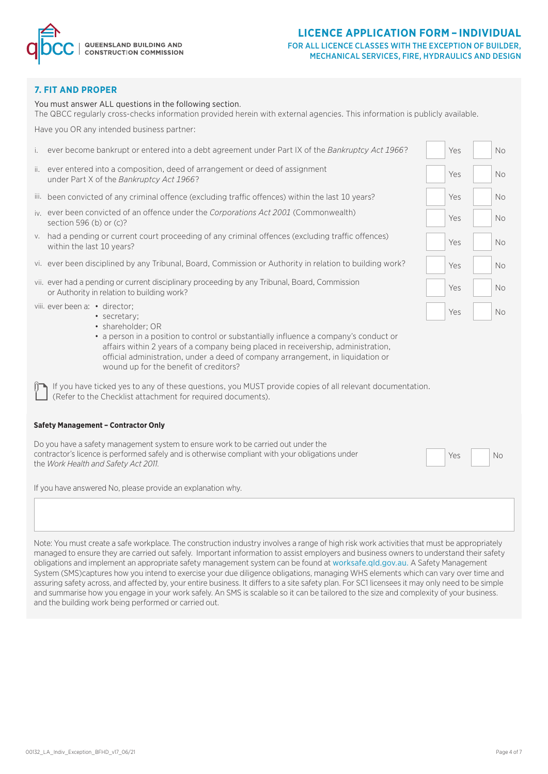

#### FOR ALL LICENCE CLASSES WITH THE EXCEPTION OF BUILDER, MECHANICAL SERVICES, FIRE, HYDRAULICS AND DESIGN

#### **7. FIT AND PROPER**

You must answer ALL questions in the following section.

The QBCC regularly cross-checks information provided herein with external agencies. This information is publicly available.

Have you OR any intended business partner:

| i.                                                                                                                                                                                                                           | ever become bankrupt or entered into a debt agreement under Part IX of the Bankruptcy Act 1966?                                                                                                                                                                                                                              | Yes |  | <b>No</b> |  |  |  |
|------------------------------------------------------------------------------------------------------------------------------------------------------------------------------------------------------------------------------|------------------------------------------------------------------------------------------------------------------------------------------------------------------------------------------------------------------------------------------------------------------------------------------------------------------------------|-----|--|-----------|--|--|--|
|                                                                                                                                                                                                                              | ii. ever entered into a composition, deed of arrangement or deed of assignment<br>under Part X of the Bankruptcy Act 1966?                                                                                                                                                                                                   | Yes |  | No.       |  |  |  |
|                                                                                                                                                                                                                              | iii. been convicted of any criminal offence (excluding traffic offences) within the last 10 years?                                                                                                                                                                                                                           | Yes |  | No.       |  |  |  |
|                                                                                                                                                                                                                              | jy, ever been convicted of an offence under the Corporations Act 2001 (Commonwealth)<br>section 596 (b) or (c)?                                                                                                                                                                                                              | Yes |  | <b>No</b> |  |  |  |
|                                                                                                                                                                                                                              | v. had a pending or current court proceeding of any criminal offences (excluding traffic offences)<br>within the last 10 years?                                                                                                                                                                                              | Yes |  | No.       |  |  |  |
|                                                                                                                                                                                                                              | vi. ever been disciplined by any Tribunal, Board, Commission or Authority in relation to building work?                                                                                                                                                                                                                      | Yes |  | No.       |  |  |  |
|                                                                                                                                                                                                                              | vii. ever had a pending or current disciplinary proceeding by any Tribunal, Board, Commission<br>or Authority in relation to building work?                                                                                                                                                                                  | Yes |  | <b>No</b> |  |  |  |
|                                                                                                                                                                                                                              | viii. ever been a: • director;<br>· secretary:                                                                                                                                                                                                                                                                               | Yes |  | <b>No</b> |  |  |  |
|                                                                                                                                                                                                                              | · shareholder; OR<br>• a person in a position to control or substantially influence a company's conduct or<br>affairs within 2 years of a company being placed in receivership, administration,<br>official administration, under a deed of company arrangement, in liquidation or<br>wound up for the benefit of creditors? |     |  |           |  |  |  |
| If you have ticked yes to any of these questions, you MUST provide copies of all relevant documentation.<br>(Refer to the Checklist attachment for required documents).                                                      |                                                                                                                                                                                                                                                                                                                              |     |  |           |  |  |  |
|                                                                                                                                                                                                                              | <b>Safety Management - Contractor Only</b>                                                                                                                                                                                                                                                                                   |     |  |           |  |  |  |
| Do you have a safety management system to ensure work to be carried out under the<br>contractor's licence is performed safely and is otherwise compliant with your obligations under<br>the Work Health and Safety Act 2011. |                                                                                                                                                                                                                                                                                                                              |     |  |           |  |  |  |
| If you have answered No, please provide an explanation why.                                                                                                                                                                  |                                                                                                                                                                                                                                                                                                                              |     |  |           |  |  |  |
|                                                                                                                                                                                                                              |                                                                                                                                                                                                                                                                                                                              |     |  |           |  |  |  |
|                                                                                                                                                                                                                              |                                                                                                                                                                                                                                                                                                                              |     |  |           |  |  |  |

Note: You must create a safe workplace. The construction industry involves a range of high risk work activities that must be appropriately managed to ensure they are carried out safely. Important information to assist employers and business owners to understand their safety obligations and implement an appropriate safety management system can be found at worksafe.qld.gov.au. A Safety Management System (SMS)captures how you intend to exercise your due diligence obligations, managing WHS elements which can vary over time and assuring safety across, and affected by, your entire business. It differs to a site safety plan. For SC1 licensees it may only need to be simple and summarise how you engage in your work safely. An SMS is scalable so it can be tailored to the size and complexity of your business. and the building work being performed or carried out.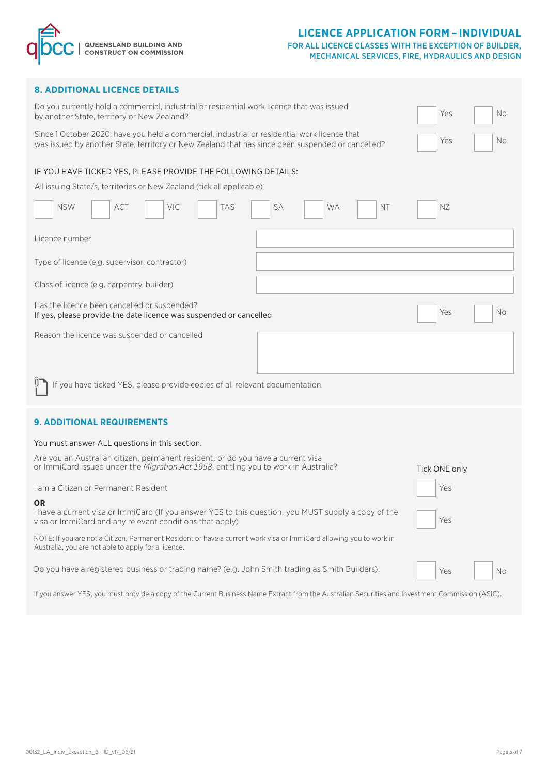

#### FOR ALL LICENCE CLASSES WITH THE EXCEPTION OF BUILDER, MECHANICAL SERVICES, FIRE, HYDRAULICS AND DESIGN

|  |  | <b>8. ADDITIONAL LICENCE DETAILS</b> |
|--|--|--------------------------------------|
|  |  |                                      |

| <b>8. ADDITIONAL LICENCE DETAILS</b>                                                                                                                                                               |                  |  |  |  |  |  |  |
|----------------------------------------------------------------------------------------------------------------------------------------------------------------------------------------------------|------------------|--|--|--|--|--|--|
| Do you currently hold a commercial, industrial or residential work licence that was issued<br>by another State, territory or New Zealand?                                                          | Yes<br><b>No</b> |  |  |  |  |  |  |
| Since 1 October 2020, have you held a commercial, industrial or residential work licence that<br>was issued by another State, territory or New Zealand that has since been suspended or cancelled? | Yes<br>No.       |  |  |  |  |  |  |
| IF YOU HAVE TICKED YES, PLEASE PROVIDE THE FOLLOWING DETAILS:                                                                                                                                      |                  |  |  |  |  |  |  |
| All issuing State/s, territories or New Zealand (tick all applicable)                                                                                                                              |                  |  |  |  |  |  |  |
| <b>NSW</b><br>ACT<br>VIC<br><b>TAS</b><br>SA<br><b>WA</b><br><b>NT</b>                                                                                                                             | NZ               |  |  |  |  |  |  |
| Licence number                                                                                                                                                                                     |                  |  |  |  |  |  |  |
| Type of licence (e.g. supervisor, contractor)                                                                                                                                                      |                  |  |  |  |  |  |  |
| Class of licence (e.g. carpentry, builder)                                                                                                                                                         |                  |  |  |  |  |  |  |
| Has the licence been cancelled or suspended?<br>Yes<br>If yes, please provide the date licence was suspended or cancelled                                                                          |                  |  |  |  |  |  |  |
| Reason the licence was suspended or cancelled                                                                                                                                                      |                  |  |  |  |  |  |  |
|                                                                                                                                                                                                    |                  |  |  |  |  |  |  |
| If you have ticked YES, please provide copies of all relevant documentation.                                                                                                                       |                  |  |  |  |  |  |  |
| <b>9. ADDITIONAL REQUIREMENTS</b>                                                                                                                                                                  |                  |  |  |  |  |  |  |
| You must answer ALL questions in this section.                                                                                                                                                     |                  |  |  |  |  |  |  |
| Are you an Australian citizen, permanent resident, or do you have a current visa                                                                                                                   |                  |  |  |  |  |  |  |
| or ImmiCard issued under the Migration Act 1958, entitling you to work in Australia?                                                                                                               | Tick ONE only    |  |  |  |  |  |  |
| I am a Citizen or Permanent Resident                                                                                                                                                               | Yes              |  |  |  |  |  |  |
| ΟR<br>I have a current visa or ImmiCard (If you answer YES to this question, you MUST supply a copy of the<br>visa or ImmiCard and any relevant conditions that apply)                             | Yes              |  |  |  |  |  |  |
| NOTE: If you are not a Citizen, Permanent Resident or have a current work visa or ImmiCard allowing you to work in<br>Australia, you are not able to apply for a licence.                          |                  |  |  |  |  |  |  |
|                                                                                                                                                                                                    |                  |  |  |  |  |  |  |

If you answer YES, you must provide a copy of the Current Business Name Extract from the Australian Securities and Investment Commission (ASIC).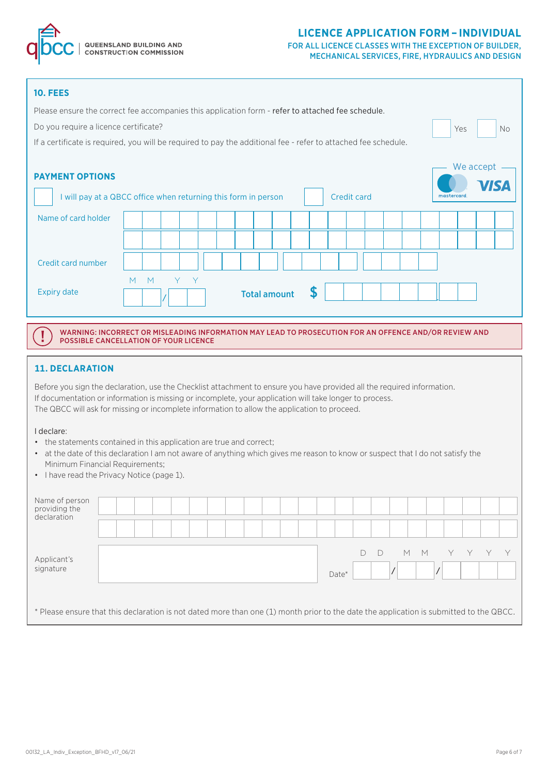

#### FOR ALL LICENCE CLASSES WITH THE EXCEPTION OF BUILDER, MECHANICAL SERVICES, FIRE, HYDRAULICS AND DESIGN

No

**ISA** 

| <b>10. FEES</b>                                                                                                |                                              |     |                     |  |                    |  |  |            |                           |
|----------------------------------------------------------------------------------------------------------------|----------------------------------------------|-----|---------------------|--|--------------------|--|--|------------|---------------------------|
| Please ensure the correct fee accompanies this application form - refer to attached fee schedule.              |                                              |     |                     |  |                    |  |  |            |                           |
|                                                                                                                | Do you require a licence certificate?<br>Yes |     |                     |  |                    |  |  |            |                           |
| If a certificate is required, you will be required to pay the additional fee - refer to attached fee schedule. |                                              |     |                     |  |                    |  |  |            |                           |
| <b>PAYMENT OPTIONS</b><br>I will pay at a QBCC office when returning this form in person                       |                                              |     |                     |  | <b>Credit card</b> |  |  | mastercard | We accept $\cdot$<br>7IS, |
| Name of card holder                                                                                            |                                              |     |                     |  |                    |  |  |            |                           |
|                                                                                                                |                                              |     |                     |  |                    |  |  |            |                           |
| Credit card number                                                                                             |                                              |     |                     |  |                    |  |  |            |                           |
| <b>Expiry date</b>                                                                                             | M<br>M                                       | Y Y | <b>Total amount</b> |  |                    |  |  |            |                           |

WARNING: INCORRECT OR MISLEADING INFORMATION MAY LEAD TO PROSECUTION FOR AN OFFENCE AND/OR REVIEW AND POSSIBLE CANCELLATION OF YOUR LICENCE

#### **11. DECLARATION**

Before you sign the declaration, use the Checklist attachment to ensure you have provided all the required information. If documentation or information is missing or incomplete, your application will take longer to process. The QBCC will ask for missing or incomplete information to allow the application to proceed.

#### I declare:

Ţ

- the statements contained in this application are true and correct;
- at the date of this declaration I am not aware of anything which gives me reason to know or suspect that I do not satisfy the Minimum Financial Requirements;
- I have read the Privacy Notice (page 1).

| Name of person<br>providing the<br>declaration |                                                                                                                                        |                 |
|------------------------------------------------|----------------------------------------------------------------------------------------------------------------------------------------|-----------------|
| Applicant's<br>signature                       |                                                                                                                                        | M<br>M<br>Date* |
|                                                | * Please ensure that this declaration is not dated more than one (1) month prior to the date the application is submitted to the QBCC. |                 |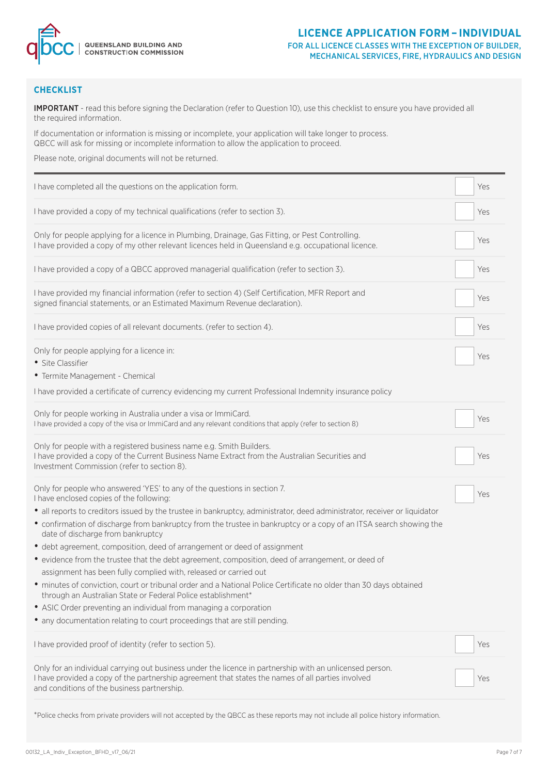

#### FOR ALL LICENCE CLASSES WITH THE EXCEPTION OF BUILDER, MECHANICAL SERVICES, FIRE, HYDRAULICS AND DESIGN

### **CHECKLIST**

IMPORTANT - read this before signing the Declaration (refer to Question 10), use this checklist to ensure you have provided all the required information.

If documentation or information is missing or incomplete, your application will take longer to process. QBCC will ask for missing or incomplete information to allow the application to proceed.

Please note, original documents will not be returned.

| I have completed all the questions on the application form.                                                                                                                                                                                                                          | Yes |
|--------------------------------------------------------------------------------------------------------------------------------------------------------------------------------------------------------------------------------------------------------------------------------------|-----|
| I have provided a copy of my technical qualifications (refer to section 3).                                                                                                                                                                                                          | Yes |
| Only for people applying for a licence in Plumbing, Drainage, Gas Fitting, or Pest Controlling.<br>I have provided a copy of my other relevant licences held in Queensland e.g. occupational licence.                                                                                | Yes |
| I have provided a copy of a QBCC approved managerial qualification (refer to section 3).                                                                                                                                                                                             | Yes |
| I have provided my financial information (refer to section 4) (Self Certification, MFR Report and<br>signed financial statements, or an Estimated Maximum Revenue declaration).                                                                                                      | Yes |
| I have provided copies of all relevant documents. (refer to section 4).                                                                                                                                                                                                              | Yes |
| Only for people applying for a licence in:<br>• Site Classifier<br>• Termite Management - Chemical                                                                                                                                                                                   | Yes |
| I have provided a certificate of currency evidencing my current Professional Indemnity insurance policy                                                                                                                                                                              |     |
| Only for people working in Australia under a visa or ImmiCard.<br>I have provided a copy of the visa or ImmiCard and any relevant conditions that apply (refer to section 8)                                                                                                         | Yes |
| Only for people with a registered business name e.g. Smith Builders.<br>I have provided a copy of the Current Business Name Extract from the Australian Securities and<br>Investment Commission (refer to section 8).                                                                | Yes |
| Only for people who answered 'YES' to any of the questions in section 7.<br>I have enclosed copies of the following:                                                                                                                                                                 | Yes |
| · all reports to creditors issued by the trustee in bankruptcy, administrator, deed administrator, receiver or liquidator<br>• confirmation of discharge from bankruptcy from the trustee in bankruptcy or a copy of an ITSA search showing the<br>date of discharge from bankruptcy |     |
| • debt agreement, composition, deed of arrangement or deed of assignment<br>• evidence from the trustee that the debt agreement, composition, deed of arrangement, or deed of                                                                                                        |     |
| assignment has been fully complied with, released or carried out<br>· minutes of conviction, court or tribunal order and a National Police Certificate no older than 30 days obtained<br>through an Australian State or Federal Police establishment*                                |     |
| • ASIC Order preventing an individual from managing a corporation                                                                                                                                                                                                                    |     |
| • any documentation relating to court proceedings that are still pending.                                                                                                                                                                                                            |     |
| I have provided proof of identity (refer to section 5).                                                                                                                                                                                                                              | Yes |
| Only for an individual carrying out business under the licence in partnership with an unlicensed person.<br>I have provided a copy of the partnership agreement that states the names of all parties involved<br>and conditions of the business partnership.                         | Yes |
| *Police checks from private providers will not accepted by the QBCC as these reports may not include all police history information.                                                                                                                                                 |     |